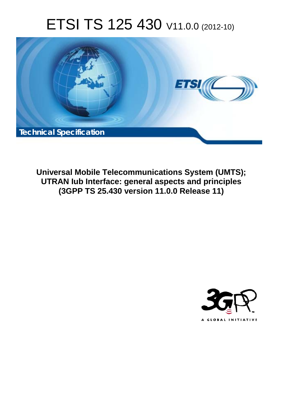# ETSI TS 125 430 V11.0.0 (2012-10)



**Universal Mobile Telecommunications System (UMTS); UTRAN Iub Interface: general aspects and principles (3GPP TS 25.430 version 11.0.0 Release 11)** 

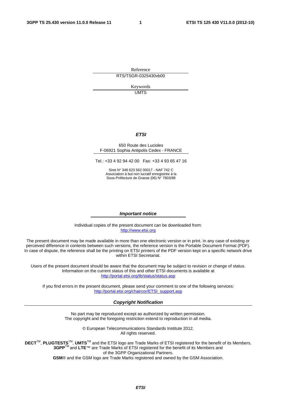Reference RTS/TSGR-0325430vb00

> Keywords UMTS

#### *ETSI*

#### 650 Route des Lucioles F-06921 Sophia Antipolis Cedex - FRANCE

Tel.: +33 4 92 94 42 00 Fax: +33 4 93 65 47 16

Siret N° 348 623 562 00017 - NAF 742 C Association à but non lucratif enregistrée à la Sous-Préfecture de Grasse (06) N° 7803/88

#### *Important notice*

Individual copies of the present document can be downloaded from: [http://www.etsi.org](http://www.etsi.org/)

The present document may be made available in more than one electronic version or in print. In any case of existing or perceived difference in contents between such versions, the reference version is the Portable Document Format (PDF). In case of dispute, the reference shall be the printing on ETSI printers of the PDF version kept on a specific network drive within ETSI Secretariat.

Users of the present document should be aware that the document may be subject to revision or change of status. Information on the current status of this and other ETSI documents is available at <http://portal.etsi.org/tb/status/status.asp>

If you find errors in the present document, please send your comment to one of the following services: [http://portal.etsi.org/chaircor/ETSI\\_support.asp](http://portal.etsi.org/chaircor/ETSI_support.asp)

#### *Copyright Notification*

No part may be reproduced except as authorized by written permission. The copyright and the foregoing restriction extend to reproduction in all media.

> © European Telecommunications Standards Institute 2012. All rights reserved.

DECT<sup>™</sup>, PLUGTESTS<sup>™</sup>, UMTS<sup>™</sup> and the ETSI logo are Trade Marks of ETSI registered for the benefit of its Members. **3GPP**TM and **LTE**™ are Trade Marks of ETSI registered for the benefit of its Members and of the 3GPP Organizational Partners.

**GSM**® and the GSM logo are Trade Marks registered and owned by the GSM Association.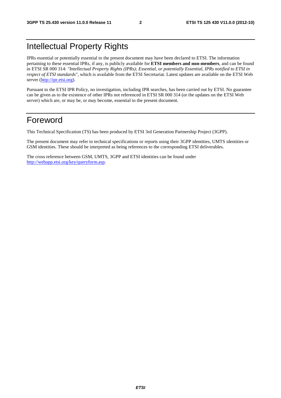# Intellectual Property Rights

IPRs essential or potentially essential to the present document may have been declared to ETSI. The information pertaining to these essential IPRs, if any, is publicly available for **ETSI members and non-members**, and can be found in ETSI SR 000 314: *"Intellectual Property Rights (IPRs); Essential, or potentially Essential, IPRs notified to ETSI in respect of ETSI standards"*, which is available from the ETSI Secretariat. Latest updates are available on the ETSI Web server [\(http://ipr.etsi.org](http://webapp.etsi.org/IPR/home.asp)).

Pursuant to the ETSI IPR Policy, no investigation, including IPR searches, has been carried out by ETSI. No guarantee can be given as to the existence of other IPRs not referenced in ETSI SR 000 314 (or the updates on the ETSI Web server) which are, or may be, or may become, essential to the present document.

# Foreword

This Technical Specification (TS) has been produced by ETSI 3rd Generation Partnership Project (3GPP).

The present document may refer to technical specifications or reports using their 3GPP identities, UMTS identities or GSM identities. These should be interpreted as being references to the corresponding ETSI deliverables.

The cross reference between GSM, UMTS, 3GPP and ETSI identities can be found under <http://webapp.etsi.org/key/queryform.asp>.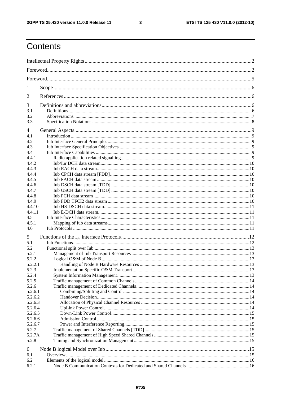$\mathbf{3}$ 

# Contents

| 1                  |  |  |  |
|--------------------|--|--|--|
| 2                  |  |  |  |
| 3                  |  |  |  |
| 3.1                |  |  |  |
| 3.2                |  |  |  |
| 3.3                |  |  |  |
| 4                  |  |  |  |
| 4.1<br>4.2         |  |  |  |
| 4.3                |  |  |  |
| 4.4                |  |  |  |
| 4.4.1              |  |  |  |
| 4.4.2              |  |  |  |
| 4.4.3              |  |  |  |
| 4.4.4              |  |  |  |
| 4.4.5              |  |  |  |
| 4.4.6              |  |  |  |
| 4.4.7              |  |  |  |
| 4.4.8              |  |  |  |
| 4.4.9              |  |  |  |
| 4.4.10<br>4.4.11   |  |  |  |
| 4.5                |  |  |  |
| 4.5.1              |  |  |  |
| 4.6                |  |  |  |
| 5                  |  |  |  |
| 5.1                |  |  |  |
| 5.2                |  |  |  |
| 5.2.1              |  |  |  |
| 5.2.2              |  |  |  |
| 5.2.2.1            |  |  |  |
| 5.2.3              |  |  |  |
| 5.2.4              |  |  |  |
| 5.2.5              |  |  |  |
| 5.2.6              |  |  |  |
| 5.2.6.1            |  |  |  |
| 5.2.6.2            |  |  |  |
| 5.2.6.3<br>5.2.6.4 |  |  |  |
| 5.2.6.5            |  |  |  |
| 5.2.6.6            |  |  |  |
| 5.2.6.7            |  |  |  |
| 5.2.7              |  |  |  |
| 5.2.7A             |  |  |  |
| 5.2.8              |  |  |  |
| 6                  |  |  |  |
| 6.1                |  |  |  |
| 6.2                |  |  |  |
| 6.2.1              |  |  |  |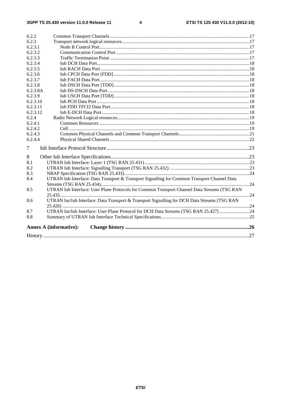$\overline{\mathbf{4}}$ 

| 6.2.2    |                                                                                              |  |
|----------|----------------------------------------------------------------------------------------------|--|
| 6.2.3    |                                                                                              |  |
| 6.2.3.1  |                                                                                              |  |
| 6.2.3.2  |                                                                                              |  |
| 6.2.3.3  |                                                                                              |  |
| 6.2.3.4  |                                                                                              |  |
| 6.2.3.5  |                                                                                              |  |
| 6.2.3.6  |                                                                                              |  |
| 6.2.3.7  |                                                                                              |  |
| 6.2.3.8  |                                                                                              |  |
| 6.2.3.8A |                                                                                              |  |
| 6.2.3.9  |                                                                                              |  |
| 6.2.3.10 |                                                                                              |  |
| 6.2.3.11 |                                                                                              |  |
| 6.2.3.12 |                                                                                              |  |
| 6.2.4    |                                                                                              |  |
| 6.2.4.1  |                                                                                              |  |
| 6.2.4.2  |                                                                                              |  |
| 6.2.4.3  |                                                                                              |  |
| 6.2.4.4  |                                                                                              |  |
| 7        |                                                                                              |  |
| 8        |                                                                                              |  |
| 8.1      |                                                                                              |  |
| 8.2      |                                                                                              |  |
| 8.3      |                                                                                              |  |
| 8.4      | UTRAN Iub Interface: Data Transport & Transport Signalling for Common Transport Channel Data |  |
|          |                                                                                              |  |
| 8.5      | UTRAN Iub Interface: User Plane Protocols for Common Transport Channel Data Streams (TSG RAN |  |
|          |                                                                                              |  |
| 8.6      | UTRAN Iur/Iub Interface: Data Transport & Transport Signalling for DCH Data Streams (TSG RAN |  |
| 8.7      | UTRAN Iur/Iub Interface: User Plane Protocol for DCH Data Streams (TSG RAN 25.427) 24        |  |
| 8.8      |                                                                                              |  |
|          |                                                                                              |  |
|          | <b>Annex A (informative):</b>                                                                |  |
|          |                                                                                              |  |
|          |                                                                                              |  |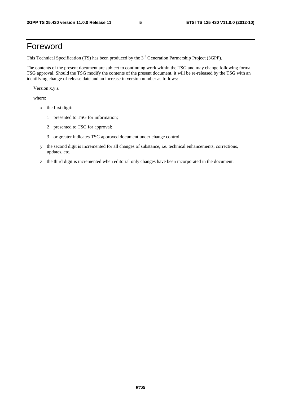# Foreword

This Technical Specification (TS) has been produced by the 3<sup>rd</sup> Generation Partnership Project (3GPP).

The contents of the present document are subject to continuing work within the TSG and may change following formal TSG approval. Should the TSG modify the contents of the present document, it will be re-released by the TSG with an identifying change of release date and an increase in version number as follows:

Version x.y.z

where:

- x the first digit:
	- 1 presented to TSG for information;
	- 2 presented to TSG for approval;
	- 3 or greater indicates TSG approved document under change control.
- y the second digit is incremented for all changes of substance, i.e. technical enhancements, corrections, updates, etc.
- z the third digit is incremented when editorial only changes have been incorporated in the document.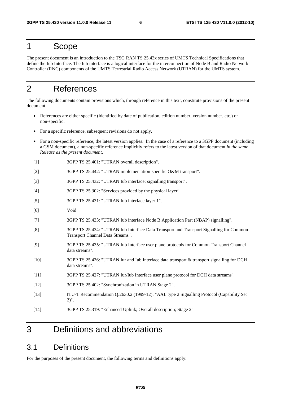# 1 Scope

The present document is an introduction to the TSG RAN TS 25.43x series of UMTS Technical Specifications that define the Iub Interface. The Iub interface is a logical interface for the interconnection of Node B and Radio Network Controller (RNC) components of the UMTS Terrestrial Radio Access Network (UTRAN) for the UMTS system.

# 2 References

The following documents contain provisions which, through reference in this text, constitute provisions of the present document.

- References are either specific (identified by date of publication, edition number, version number, etc.) or non-specific.
- For a specific reference, subsequent revisions do not apply.
- For a non-specific reference, the latest version applies. In the case of a reference to a 3GPP document (including a GSM document), a non-specific reference implicitly refers to the latest version of that document *in the same Release as the present document*.
- [1] 3GPP TS 25.401: "UTRAN overall description".
- [2] 3GPP TS 25.442: "UTRAN implementation-specific O&M transport".
- [3] 3GPP TS 25.432: "UTRAN Iub interface: signalling transport".
- [4] 3GPP TS 25.302: "Services provided by the physical layer".
- [5] 3GPP TS 25.431: "UTRAN Iub interface layer 1".
- [6] Void
- [7] 3GPP TS 25.433: "UTRAN Iub interface Node B Application Part (NBAP) signalling".
- [8] 3GPP TS 25.434: "UTRAN Iub Interface Data Transport and Transport Signalling for Common Transport Channel Data Streams".
- [9] 3GPP TS 25.435: "UTRAN Iub Interface user plane protocols for Common Transport Channel data streams".
- [10] 3GPP TS 25.426: "UTRAN Iur and Iub Interface data transport & transport signalling for DCH data streams".
- [11] 3GPP TS 25.427: "UTRAN Iur/Iub Interface user plane protocol for DCH data streams".
- [12] 3GPP TS 25.402: "Synchronization in UTRAN Stage 2".
- [13] ITU-T Recommendation Q.2630.2 (1999-12): "AAL type 2 Signalling Protocol (Capability Set 2)".
- [14] 3GPP TS 25.319: "Enhanced Uplink; Overall description; Stage 2".

# 3 Definitions and abbreviations

# 3.1 Definitions

For the purposes of the present document, the following terms and definitions apply: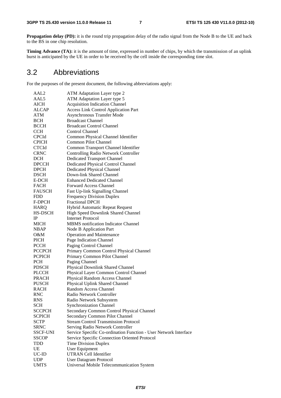**Propagation delay (PD):** it is the round trip propagation delay of the radio signal from the Node B to the UE and back to the BS in one chip resolution.

**Timing Advance (TA):** it is the amount of time, expressed in number of chips, by which the transmission of an uplink burst is anticipated by the UE in order to be received by the cell inside the corresponding time slot.

# 3.2 Abbreviations

For the purposes of the present document, the following abbreviations apply:

| AAL2            | ATM Adaptation Layer type 2                                      |
|-----------------|------------------------------------------------------------------|
| AAL5            | ATM Adaptation Layer type 5                                      |
| <b>AICH</b>     | <b>Acquisition Indication Channel</b>                            |
| <b>ALCAP</b>    | <b>Access Link Control Application Part</b>                      |
| ATM             | <b>Asynchronous Transfer Mode</b>                                |
| <b>BCH</b>      | <b>Broadcast Channel</b>                                         |
| <b>BCCH</b>     | <b>Broadcast Control Channel</b>                                 |
| <b>CCH</b>      | Control Channel                                                  |
| <b>CPCId</b>    | Common Physical Channel Identifier                               |
| <b>CPICH</b>    | <b>Common Pilot Channel</b>                                      |
| <b>CTCId</b>    | Common Transport Channel Identifier                              |
| <b>CRNC</b>     | <b>Controlling Radio Network Controller</b>                      |
| <b>DCH</b>      | <b>Dedicated Transport Channel</b>                               |
| <b>DPCCH</b>    | Dedicated Physical Control Channel                               |
| <b>DPCH</b>     | <b>Dedicated Physical Channel</b>                                |
| <b>DSCH</b>     | Down-link Shared Channel                                         |
| E-DCH           | <b>Enhanced Dedicated Channel</b>                                |
| <b>FACH</b>     | <b>Forward Access Channel</b>                                    |
|                 |                                                                  |
| <b>FAUSCH</b>   | Fast Up-link Signalling Channel                                  |
| FDD             | <b>Frequency Division Duplex</b>                                 |
| F-DPCH          | <b>Fractional DPCH</b>                                           |
| <b>HARQ</b>     | <b>Hybrid Automatic Repeat Request</b>                           |
| HS-DSCH         | High Speed Downlink Shared Channel                               |
| <b>IP</b>       | <b>Internet Protocol</b>                                         |
| <b>MICH</b>     | <b>MBMS</b> notification Indicator Channel                       |
| <b>NBAP</b>     | Node B Application Part                                          |
| 0&M             | <b>Operation and Maintenance</b>                                 |
| PICH            | Page Indication Channel                                          |
| <b>PCCH</b>     | Paging Control Channel                                           |
| <b>PCCPCH</b>   | Primary Common Control Physical Channel                          |
| <b>PCPICH</b>   | Primary Common Pilot Channel                                     |
| <b>PCH</b>      | Paging Channel                                                   |
| <b>PDSCH</b>    | Physical Downlink Shared Channel                                 |
| <b>PLCCH</b>    | Physical Layer Common Control Channel                            |
| <b>PRACH</b>    | Physical Random Access Channel                                   |
| <b>PUSCH</b>    | Physical Uplink Shared Channel                                   |
| <b>RACH</b>     | Random Access Channel                                            |
| RNC             | Radio Network Controller                                         |
| <b>RNS</b>      | Radio Network Subsystem                                          |
| <b>SCH</b>      | <b>Synchronization Channel</b>                                   |
| <b>SCCPCH</b>   | Secondary Common Control Physical Channel                        |
| <b>SCPICH</b>   | Secondary Common Pilot Channel                                   |
| <b>SCTP</b>     | <b>Stream Control Transmission Protocol</b>                      |
| <b>SRNC</b>     | Serving Radio Network Controller                                 |
| <b>SSCF-UNI</b> | Service Specific Co-ordination Function - User Network Interface |
| <b>SSCOP</b>    | Service Specific Connection Oriented Protocol                    |
| TDD             | <b>Time Division Duplex</b>                                      |
| UE              | User Equipment                                                   |
| UC-ID           | UTRAN Cell Identifier                                            |
| <b>UDP</b>      | <b>User Datagram Protocol</b>                                    |
| <b>UMTS</b>     | Universal Mobile Telecommunication System                        |
|                 |                                                                  |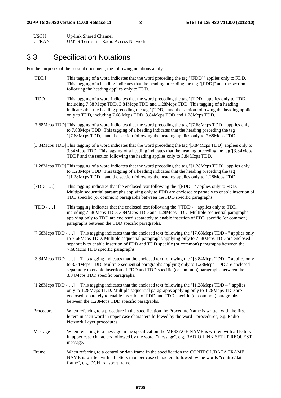| <b>USCH</b>  | Up-link Shared Channel                       |
|--------------|----------------------------------------------|
| <b>UTRAN</b> | <b>UMTS Terrestrial Radio Access Network</b> |

# 3.3 Specification Notations

For the purposes of the present document, the following notations apply:

- [FDD] This tagging of a word indicates that the word preceding the tag "[FDD]" applies only to FDD. This tagging of a heading indicates that the heading preceding the tag "[FDD]" and the section following the heading applies only to FDD.
- [TDD] This tagging of a word indicates that the word preceding the tag "[TDD]" applies only to TDD, including 7.68 Mcps TDD, 3.84Mcps TDD and 1.28Mcps TDD. This tagging of a heading indicates that the heading preceding the tag "[TDD]" and the section following the heading applies only to TDD, including 7.68 Mcps TDD, 3.84Mcps TDD and 1.28Mcps TDD.
- [7.68Mcps TDD] This tagging of a word indicates that the word preceding the tag "[7.68Mcps TDD]" applies only to 7.68Mcps TDD. This tagging of a heading indicates that the heading preceding the tag "[7.68Mcps TDD]" and the section following the heading applies only to 7.68Mcps TDD.
- [3.84Mcps TDD] This tagging of a word indicates that the word preceding the tag '[3.84Mcps TDD]' applies only to 3.84Mcps TDD. This tagging of a heading indicates that the heading preceding the tag '[3.84Mcps TDD]' and the section following the heading applies only to 3.84Mcps TDD.
- [1.28Mcps TDD] This tagging of a word indicates that the word preceding the tag "[1.28Mcps TDD]" applies only to 1.28Mcps TDD. This tagging of a heading indicates that the heading preceding the tag "[1.28Mcps TDD]" and the section following the heading applies only to 1.28Mcps TDD.
- [FDD …] This tagging indicates that the enclosed text following the "[FDD " applies only to FDD. Multiple sequential paragraphs applying only to FDD are enclosed separately to enable insertion of TDD specific (or common) paragraphs between the FDD specific paragraphs.
- [TDD …] This tagging indicates that the enclosed text following the "[TDD " applies only to TDD, including 7.68 Mcps TDD, 3.84Mcps TDD and 1.28Mcps TDD. Multiple sequential paragraphs applying only to TDD are enclosed separately to enable insertion of FDD specific (or common) paragraphs between the TDD specific paragraphs.
- [7.68Mcps TDD …] This tagging indicates that the enclosed text following the "[7.68Mcps TDD " applies only to 7.68Mcps TDD. Multiple sequential paragraphs applying only to 7.68Mcps TDD are enclosed separately to enable insertion of FDD and TDD specific (or common) paragraphs between the 7.68Mcps TDD specific paragraphs.
- [3.84Mcps TDD …] This tagging indicates that the enclosed text following the "[3.84Mcps TDD " applies only to 3.84Mcps TDD. Multiple sequential paragraphs applying only to 1.28Mcps TDD are enclosed separately to enable insertion of FDD and TDD specific (or common) paragraphs between the 3.84Mcps TDD specific paragraphs.
- [1.28Mcps TDD …] This tagging indicates that the enclosed text following the "[1.28Mcps TDD " applies only to 1.28Mcps TDD. Multiple sequential paragraphs applying only to 1.28Mcps TDD are enclosed separately to enable insertion of FDD and TDD specific (or common) paragraphs between the 1.28Mcps TDD specific paragraphs.
- Procedure When referring to a procedure in the specification the Procedure Name is written with the first letters in each word in upper case characters followed by the word "procedure", e.g. Radio Network Layer procedures.
- Message When referring to a message in the specification the MESSAGE NAME is written with all letters in upper case characters followed by the word "message", e.g. RADIO LINK SETUP REQUEST message.
- Frame When referring to a control or data frame in the specification the CONTROL/DATA FRAME NAME is written with all letters in upper case characters followed by the words "control/data frame", e.g. DCH transport frame.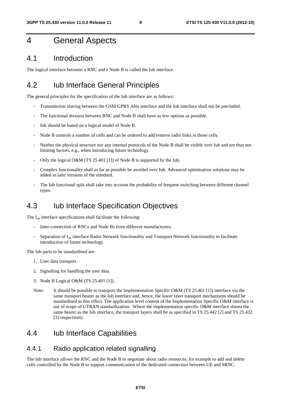# 4 General Aspects

### 4.1 Introduction

The logical interface between a RNC and a Node B is called the Iub interface.

# 4.2 Iub Interface General Principles

The general principles for the specification of the Iub interface are as follows:

- Transmission sharing between the GSM/GPRS Abis interface and the Iub interface shall not be precluded.
- The functional division between RNC and Node B shall have as few options as possible.
- Iub should be based on a logical model of Node B.
- Node B controls a number of cells and can be ordered to add/remove radio links in those cells.
- Neither the physical structure nor any internal protocols of the Node B shall be visible over Iub and are thus not limiting factors, e.g., when introducing future technology.
- Only the logical O&M (TS 25.401 [1]) of Node B is supported by the Iub.
- Complex functionality shall as far as possible be avoided over Iub. Advanced optimisation solutions may be added in later versions of the standard.
- The Iub functional split shall take into account the probability of frequent switching between different channel types.

# 4.3 Iub Interface Specification Objectives

The  $I_{ub}$  interface specifications shall facilitate the following:

- Inter-connection of RNCs and Node Bs from different manufacturers.
- Separation of I<sub>ub</sub> interface Radio Network functionality and Transport Network functionality to facilitate introduction of future technology.

The Iub parts to be standardised are:

- 1. User data transport.
- 2. Signalling for handling the user data.
- 3. Node B Logical O&M (TS 25.401 [1]).
- Note: It should be possible to transport the Implementation Specific O&M (TS 25.401 [1]) interface via the same transport bearer as the Iub interface and, hence, the lower layer transport mechanisms should be standardised to this effect. The application level content of the Implementation Specific O&M interface is out of scope of UTRAN standardization. Where the implementation specific O&M interface shares the same bearer as the Iub interface, the transport layers shall be as specified in TS 25.442 [2] and TS 25.432 [3] respectively.

# 4.4 Iub Interface Capabilities

#### 4.4.1 Radio application related signalling

The Iub interface allows the RNC and the Node B to negotiate about radio resources, for example to add and delete cells controlled by the Node B to support communication of the dedicated connection between UE and SRNC.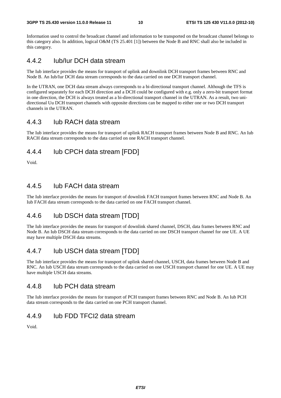#### **3GPP TS 25.430 version 11.0.0 Release 11 10 ETSI TS 125 430 V11.0.0 (2012-10)**

Information used to control the broadcast channel and information to be transported on the broadcast channel belongs to this category also. In addition, logical O&M (TS 25.401 [1]) between the Node B and RNC shall also be included in this category.

### 4.4.2 Iub/Iur DCH data stream

The Iub interface provides the means for transport of uplink and downlink DCH transport frames between RNC and Node B. An Iub/Iur DCH data stream corresponds to the data carried on one DCH transport channel.

In the UTRAN, one DCH data stream always corresponds to a bi-directional transport channel. Although the TFS is configured separately for each DCH direction and a DCH could be configured with e.g. only a zero-bit transport format in one direction, the DCH is always treated as a bi-directional transport channel in the UTRAN. As a result, two unidirectional Uu DCH transport channels with opposite directions can be mapped to either one or two DCH transport channels in the UTRAN.

### 4.4.3 Iub RACH data stream

The Iub interface provides the means for transport of uplink RACH transport frames between Node B and RNC. An Iub RACH data stream corresponds to the data carried on one RACH transport channel.

# 4.4.4 Iub CPCH data stream [FDD]

Void.

### 4.4.5 Iub FACH data stream

The Iub interface provides the means for transport of downlink FACH transport frames between RNC and Node B. An Iub FACH data stream corresponds to the data carried on one FACH transport channel.

# 4.4.6 Iub DSCH data stream [TDD]

The Iub interface provides the means for transport of downlink shared channel, DSCH, data frames between RNC and Node B. An Iub DSCH data stream corresponds to the data carried on one DSCH transport channel for one UE. A UE may have multiple DSCH data streams.

# 4.4.7 Iub USCH data stream [TDD]

The Iub interface provides the means for transport of uplink shared channel, USCH, data frames between Node B and RNC. An Iub USCH data stream corresponds to the data carried on one USCH transport channel for one UE. A UE may have multiple USCH data streams.

### 4.4.8 Iub PCH data stream

The Iub interface provides the means for transport of PCH transport frames between RNC and Node B. An Iub PCH data stream corresponds to the data carried on one PCH transport channel.

### 4.4.9 Iub FDD TFCI2 data stream

Void.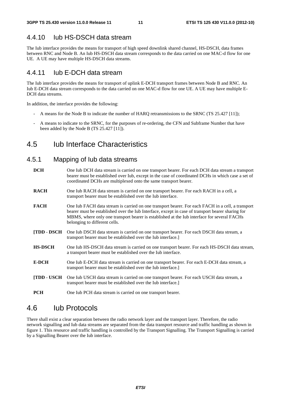### 4.4.10 Iub HS-DSCH data stream

The Iub interface provides the means for transport of high speed downlink shared channel, HS-DSCH, data frames between RNC and Node B. An Iub HS-DSCH data stream corresponds to the data carried on one MAC-d flow for one UE. A UE may have multiple HS-DSCH data streams.

# 4.4.11 Iub E-DCH data stream

The Iub interface provides the means for transport of uplink E-DCH transport frames between Node B and RNC. An Iub E-DCH data stream corresponds to the data carried on one MAC-d flow for one UE. A UE may have multiple E-DCH data streams.

In addition, the interface provides the following:

- A means for the Node B to indicate the number of HARQ retransmissions to the SRNC (TS 25.427 [11]);
- A means to indicate to the SRNC, for the purposes of re-ordering, the CFN and Subframe Number that have been added by the Node B (TS 25.427 [11]).

# 4.5 Iub Interface Characteristics

# 4.5.1 Mapping of Iub data streams

- **DCH** One Iub DCH data stream is carried on one transport bearer. For each DCH data stream a transport bearer must be established over Iub, except in the case of coordinated DCHs in which case a set of coordinated DCHs are multiplexed onto the same transport bearer.
- **RACH** One Iub RACH data stream is carried on one transport bearer. For each RACH in a cell, a transport bearer must be established over the Iub interface.
- **FACH** One Iub FACH data stream is carried on one transport bearer. For each FACH in a cell, a transport bearer must be established over the Iub Interface, except in case of transport bearer sharing for MBMS, where only one transport bearer is established at the Iub interface for several FACHs belonging to different cells.
- **[TDD DSCH** One Iub DSCH data stream is carried on one transport bearer. For each DSCH data stream, a transport bearer must be established over the Iub interface.]
- **HS-DSCH** One Iub HS-DSCH data stream is carried on one transport bearer. For each HS-DSCH data stream, a transport bearer must be established over the Iub interface.
- **E-DCH** One Iub E-DCH data stream is carried on one transport bearer. For each E-DCH data stream, a transport bearer must be established over the Iub interface.]
- **[TDD USCH** One Iub USCH data stream is carried on one transport bearer. For each USCH data stream, a transport bearer must be established over the Iub interface.]
- **PCH** One Iub PCH data stream is carried on one transport bearer.

# 4.6 Iub Protocols

There shall exist a clear separation between the radio network layer and the transport layer. Therefore, the radio network signalling and Iub data streams are separated from the data transport resource and traffic handling as shown in figure 1. This resource and traffic handling is controlled by the Transport Signalling. The Transport Signalling is carried by a Signalling Bearer over the Iub interface.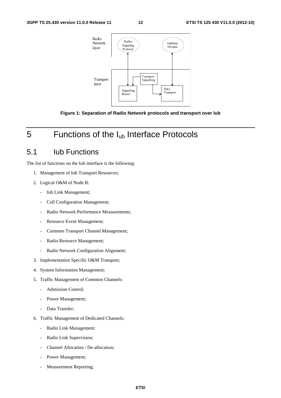

**Figure 1: Separation of Radio Network protocols and transport over Iub** 

# 5 Functions of the I<sub>ub</sub> Interface Protocols

# 5.1 Iub Functions

The list of functions on the Iub interface is the following:

- 1. Management of Iub Transport Resources;
- 2. Logical O&M of Node B:
	- Iub Link Management;
	- Cell Configuration Management;
	- Radio Network Performance Measurements;
	- Resource Event Management;
	- Common Transport Channel Management;
	- Radio Resource Management;
	- Radio Network Configuration Alignment;
- 3. Implementation Specific O&M Transport;
- 4. System Information Management;
- 5. Traffic Management of Common Channels:
	- Admission Control;
	- Power Management;
	- Data Transfer;
- 6. Traffic Management of Dedicated Channels:
	- Radio Link Management;
	- Radio Link Supervision;
	- Channel Allocation / De-allocation;
	- Power Management;
	- Measurement Reporting;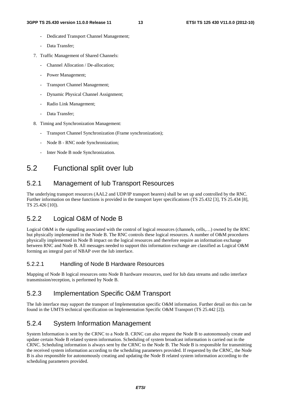- Dedicated Transport Channel Management;
- Data Transfer;
- 7. Traffic Management of Shared Channels:
	- Channel Allocation / De-allocation:
	- Power Management;
	- Transport Channel Management;
	- Dynamic Physical Channel Assignment;
	- Radio Link Management;
	- Data Transfer:
- 8. Timing and Synchronization Management:
	- Transport Channel Synchronization (Frame synchronization);
	- Node B RNC node Synchronization;
	- Inter Node B node Synchronization.

# 5.2 Functional split over Iub

# 5.2.1 Management of Iub Transport Resources

The underlying transport resources (AAL2 and UDP/IP transport bearers) shall be set up and controlled by the RNC. Further information on these functions is provided in the transport layer specifications (TS 25.432 [3], TS 25.434 [8], TS 25.426 [10]).

# 5.2.2 Logical O&M of Node B

Logical O&M is the signalling associated with the control of logical resources (channels, cells,…) owned by the RNC but physically implemented in the Node B. The RNC controls these logical resources. A number of O&M procedures physically implemented in Node B impact on the logical resources and therefore require an information exchange between RNC and Node B. All messages needed to support this information exchange are classified as Logical O&M forming an integral part of NBAP over the Iub interface.

#### 5.2.2.1 Handling of Node B Hardware Resources

Mapping of Node B logical resources onto Node B hardware resources, used for Iub data streams and radio interface transmission/reception, is performed by Node B.

# 5.2.3 Implementation Specific O&M Transport

The Iub interface may support the transport of Implementation specific O&M information. Further detail on this can be found in the UMTS technical specification on Implementation Specific O&M Transport (TS 25.442 [2]).

# 5.2.4 System Information Management

System Information is sent by the CRNC to a Node B. CRNC can also request the Node B to autonomously create and update certain Node B related system information. Scheduling of system broadcast information is carried out in the CRNC. Scheduling information is always sent by the CRNC to the Node B. The Node B is responsible for transmitting the received system information according to the scheduling parameters provided. If requested by the CRNC, the Node B is also responsible for autonomously creating and updating the Node B related system information according to the scheduling parameters provided.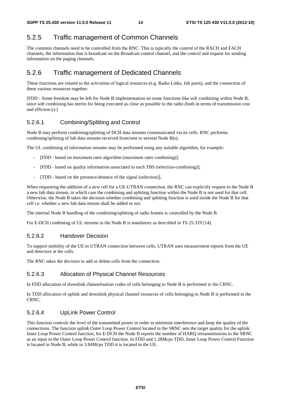# 5.2.5 Traffic management of Common Channels

The common channels need to be controlled from the RNC. This is typically the control of the RACH and FACH channels, the information that is broadcast on the Broadcast control channel, and the control and request for sending information on the paging channels.

# 5.2.6 Traffic management of Dedicated Channels

These functions are related to the activation of logical resources (e.g. Radio Links, Iub ports), and the connection of these various resources together.

[FDD - Some freedom may be left for Node B implementation on some functions like soft combining within Node B, since soft combining has merits for being executed as close as possible to the radio (both in terms of transmission cost and efficiency).]

#### 5.2.6.1 Combining/Splitting and Control

Node B may perform combining/splitting of DCH data streams communicated via its cells. RNC performs combining/splitting of Iub data streams received from/sent to several Node B(s).

The UL combining of information streams may be performed using any suitable algorithm, for example:

- [FDD based on maximum ratio algorithm (maximum ratio combining)];
- [FDD based on quality information associated to each TBS (selection-combining)];
- [TDD based on the presence/absence of the signal (selection)].

When requesting the addition of a new cell for a UE-UTRAN connection, the RNC can explicitly request to the Node B a new Iub data stream, in which case the combining and splitting function within the Node B is not used for that cell. Otherwise, the Node B takes the decision whether combining and splitting function is used inside the Node B for that cell i.e. whether a new Iub data stream shall be added or not.

The internal Node B handling of the combining/splitting of radio frames is controlled by the Node B.

For E-DCH combining of UL streams in the Node B is mandatory as described in TS 25.319 [14].

#### 5.2.6.2 Handover Decision

To support mobility of the UE to UTRAN connection between cells, UTRAN uses measurement reports from the UE and detectors at the cells.

The RNC takes the decision to add or delete cells from the connection.

#### 5.2.6.3 Allocation of Physical Channel Resources

In FDD allocation of downlink channelisation codes of cells belonging to Node B is performed in the CRNC.

In TDD allocation of uplink and downlink physical channel resources of cells belonging to Node B is performed in the CRNC.

#### 5.2.6.4 UpLink Power Control

This function controls the level of the transmitted power in order to minimise interference and keep the quality of the connections. The function uplink Outer Loop Power Control located in the SRNC sets the target quality for the uplink Inner Loop Power Control function, for E-DCH the Node B reports the number of HARQ retransmissions to the SRNC as an input to the Outer Loop Power Control function. In FDD and 1.28Mcps TDD, Inner Loop Power Control Function is located in Node B, while in 3.84Mcps TDD it is located in the UE.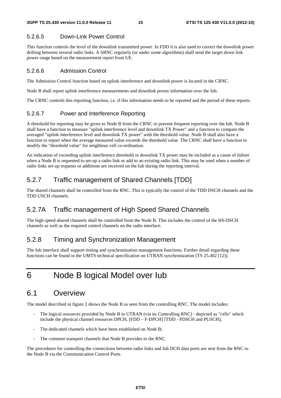#### 5.2.6.5 Down-Link Power Control

This function controls the level of the downlink transmitted power. In FDD it is also used to correct the downlink power drifting between several radio links. A SRNC regularly (or under some algorithms) shall send the target down link power range based on the measurement report from UE.

#### 5.2.6.6 Admission Control

The Admission Control function based on uplink interference and downlink power is located in the CRNC.

Node B shall report uplink interference measurements and downlink power information over the Iub.

The CRNC controls this reporting function, i.e. if this information needs to be reported and the period of these reports.

#### 5.2.6.7 Power and Interference Reporting

A threshold for reporting may be given to Node B from the CRNC to prevent frequent reporting over the Iub. Node B shall have a function to measure "uplink interference level and downlink TX Power" and a function to compare the averaged "uplink interference level and downlink TX power" with the threshold value. Node B shall also have a function to report when the average measured value exceeds the threshold value. The CRNC shall have a function to modify the "threshold value" for neighbour cell co-ordination.

An indication of exceeding uplink interference threshold or downlink TX power may be included as a cause of failure when a Node B is requested to set-up a radio link or add to an existing radio link. This may be used when a number of radio links set-up requests or additions are received on the Iub during the reporting interval.

# 5.2.7 Traffic management of Shared Channels [TDD]

The shared channels shall be controlled from the RNC. This is typically the control of the TDD DSCH channels and the TDD USCH channels.

# 5.2.7A Traffic management of High Speed Shared Channels

The high speed shared channels shall be controlled from the Node B. This includes the control of the HS-DSCH channels as well as the required control channels on the radio interface.

# 5.2.8 Timing and Synchronization Management

The Iub interface shall support timing and synchronization management functions. Further detail regarding these functions can be found in the UMTS technical specification on UTRAN synchronization (TS 25.402 [12]).

# 6 Node B logical Model over Iub

# 6.1 Overview

The model described in figure 2 shows the Node B as seen from the controlling RNC. The model includes:

- The logical resources provided by Node B to UTRAN (via its Controlling RNC) depicted as "cells" which include the physical channel resources DPCH, [FDD – F-DPCH] [TDD - PDSCH and PUSCH];
- The dedicated channels which have been established on Node B:
- The common transport channels that Node B provides to the RNC.

The procedures for controlling the connections between radio links and Iub DCH data ports are sent from the RNC to the Node B via the Communication Control Ports.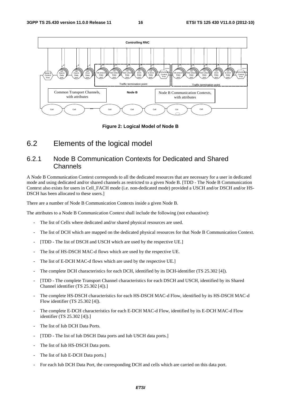

**Figure 2: Logical Model of Node B** 

# 6.2 Elements of the logical model

### 6.2.1 Node B Communication Contexts for Dedicated and Shared Channels

A Node B Communication Context corresponds to all the dedicated resources that are necessary for a user in dedicated mode and using dedicated and/or shared channels as restricted to a given Node B. [TDD - The Node B Communication Context also exists for users in Cell\_FACH mode (i.e. non-dedicated mode) provided a USCH and/or DSCH and/or HS-DSCH has been allocated to these users.]

There are a number of Node B Communication Contexts inside a given Node B.

The attributes to a Node B Communication Context shall include the following (not exhaustive):

- The list of Cells where dedicated and/or shared physical resources are used.
- The list of DCH which are mapped on the dedicated physical resources for that Node B Communication Context.
- [TDD The list of DSCH and USCH which are used by the respective UE.]
- The list of HS-DSCH MAC-d flows which are used by the respective UE.
- The list of E-DCH MAC-d flows which are used by the respective UE.
- The complete DCH characteristics for each DCH, identified by its DCH-identifier (TS 25.302 [4]).
- [TDD The complete Transport Channel characteristics for each DSCH and USCH, identified by its Shared Channel identifier (TS 25.302 [4]).]
- The complete HS-DSCH characteristics for each HS-DSCH MAC-d Flow, identified by its HS-DSCH MAC-d Flow identifier (TS 25.302 [4]).
- The complete E-DCH characteristics for each E-DCH MAC-d Flow, identified by its E-DCH MAC-d Flow identifier (TS 25.302 [4]).]
- The list of Iub DCH Data Ports.
- [TDD The list of Iub DSCH Data ports and Iub USCH data ports.]
- The list of Iub HS-DSCH Data ports.
- The list of Iub E-DCH Data ports.
- For each Iub DCH Data Port, the corresponding DCH and cells which are carried on this data port.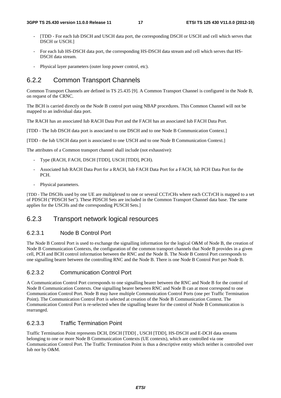- [TDD For each Iub DSCH and USCH data port, the corresponding DSCH or USCH and cell which serves that DSCH or USCH.]
- For each Iub HS-DSCH data port, the corresponding HS-DSCH data stream and cell which serves that HS-DSCH data stream.
- Physical layer parameters (outer loop power control, etc).

### 6.2.2 Common Transport Channels

Common Transport Channels are defined in TS 25.435 [9]. A Common Transport Channel is configured in the Node B, on request of the CRNC.

The BCH is carried directly on the Node B control port using NBAP procedures. This Common Channel will not be mapped to an individual data port.

The RACH has an associated Iub RACH Data Port and the FACH has an associated Iub FACH Data Port.

[TDD - The Iub DSCH data port is associated to one DSCH and to one Node B Communication Context.]

[TDD - the Iub USCH data port is associated to one USCH and to one Node B Communication Context.]

The attributes of a Common transport channel shall include (not exhaustive):

- Type (RACH, FACH, DSCH [TDD], USCH [TDD], PCH).
- Associated Iub RACH Data Port for a RACH, Iub FACH Data Port for a FACH, Iub PCH Data Port for the PCH.
- Physical parameters.

[TDD - The DSCHs used by one UE are multiplexed to one or several CCTrCHs where each CCTrCH is mapped to a set of PDSCH ("PDSCH Set"). These PDSCH Sets are included in the Common Transport Channel data base. The same applies for the USCHs and the corresponding PUSCH Sets.]

#### 6.2.3 Transport network logical resources

#### 6.2.3.1 Node B Control Port

The Node B Control Port is used to exchange the signalling information for the logical O&M of Node B, the creation of Node B Communication Contexts, the configuration of the common transport channels that Node B provides in a given cell, PCH and BCH control information between the RNC and the Node B. The Node B Control Port corresponds to one signalling bearer between the controlling RNC and the Node B. There is one Node B Control Port per Node B.

#### 6.2.3.2 Communication Control Port

A Communication Control Port corresponds to one signalling bearer between the RNC and Node B for the control of Node B Communication Contexts. One signalling bearer between RNC and Node B can at most correspond to one Communication Control Port. Node B may have multiple Communication Control Ports (one per Traffic Termination Point). The Communication Control Port is selected at creation of the Node B Communication Context. The Communication Control Port is re-selected when the signalling bearer for the control of Node B Communication is rearranged.

#### 6.2.3.3 Traffic Termination Point

Traffic Termination Point represents DCH, DSCH [TDD] , USCH [TDD], HS-DSCH and E-DCH data streams belonging to one or more Node B Communication Contexts (UE contexts), which are controlled via one Communication Control Port. The Traffic Termination Point is thus a descriptive entity which neither is controlled over Iub nor by O&M.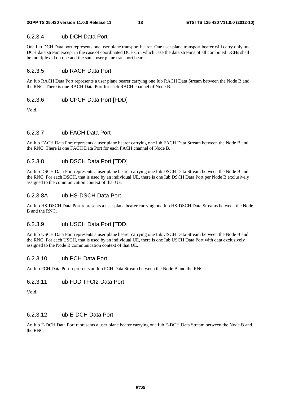#### 6.2.3.4 Iub DCH Data Port

One Iub DCH Data port represents one user plane transport bearer. One user plane transport bearer will carry only one DCH data stream except in the case of coordinated DCHs, in which case the data streams of all combined DCHs shall be multiplexed on one and the same user plane transport bearer.

#### 6.2.3.5 Iub RACH Data Port

An Iub RACH Data Port represents a user plane bearer carrying one Iub RACH Data Stream between the Node B and the RNC. There is one RACH Data Port for each RACH channel of Node B.

#### 6.2.3.6 Iub CPCH Data Port [FDD]

Void.

#### 6.2.3.7 Iub FACH Data Port

An Iub FACH Data Port represents a user plane bearer carrying one Iub FACH Data Stream between the Node B and the RNC. There is one FACH Data Port for each FACH channel of Node B.

#### 6.2.3.8 Iub DSCH Data Port [TDD]

An Iub DSCH Data Port represents a user plane bearer carrying one Iub DSCH Data Stream between the Node B and the RNC. For each DSCH, that is used by an individual UE, there is one Iub DSCH Data Port per Node B exclusively assigned to the communication context of that UE.

#### 6.2.3.8A Iub HS-DSCH Data Port

An Iub HS-DSCH Data Port represents a user plane bearer carrying one Iub HS-DSCH Data Streams between the Node B and the RNC.

#### 6.2.3.9 Iub USCH Data Port [TDD]

An Iub USCH Data Port represents a user plane bearer carrying one Iub USCH Data Stream between the Node B and the RNC. For each USCH, that is used by an individual UE, there is one Iub USCH Data Port with data exclusively assigned to the Node B communication context of that UE.

#### 6.2.3.10 Iub PCH Data Port

An Iub PCH Data Port represents an Iub PCH Data Stream between the Node B and the RNC.

#### 6.2.3.11 Iub FDD TFCI2 Data Port

Void.

#### 6.2.3.12 Iub E-DCH Data Port

An Iub E-DCH Data Port represents a user plane bearer carrying one Iub E-DCH Data Stream between the Node B and the RNC.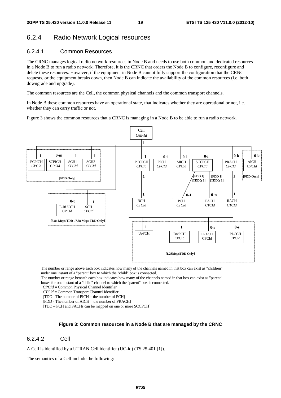# 6.2.4 Radio Network Logical resources

#### 6.2.4.1 Common Resources

The CRNC manages logical radio network resources in Node B and needs to use both common and dedicated resources in a Node B to run a radio network. Therefore, it is the CRNC that orders the Node B to configure, reconfigure and delete these resources. However, if the equipment in Node B cannot fully support the configuration that the CRNC requests, or the equipment breaks down, then Node B can indicate the availability of the common resources (i.e. both downgrade and upgrade).

The common resources are the Cell, the common physical channels and the common transport channels.

In Node B these common resources have an operational state, that indicates whether they are operational or not, i.e. whether they can carry traffic or not.

Figure 3 shows the common resources that a CRNC is managing in a Node B to be able to run a radio network.



The number or range above each box indicates how many of the channels named in that box can exist as "children" under one instant of a "parent" box to which the "child" box is connected.

The number or range beneath each box indicates how many of the channels named in that box can exist as "parent" boxes for one instant of a "child" channel to which the "parent" box is connected.

*CPCId* = Common Physical Channel Identifier

- *CTCId* = Common Transport Channel Identifier
- [TDD The number of PICH = the number of PCH]

[FDD - The number of AICH = the number of PRACH]

[TDD – PCH and FACHs can be mapped on one or more SCCPCH]

#### **Figure 3: Common resources in a Node B that are managed by the CRNC**

#### 6.2.4.2 Cell

A Cell is identified by a UTRAN Cell identifier (UC-id) (TS 25.401 [1]).

The semantics of a Cell include the following: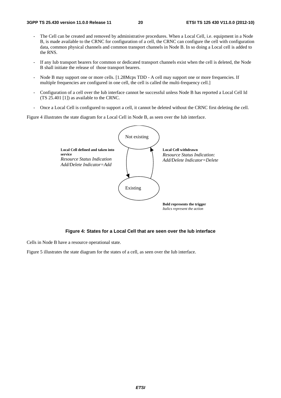- The Cell can be created and removed by administrative procedures. When a Local Cell, i.e. equipment in a Node B, is made available to the CRNC for configuration of a cell, the CRNC can configure the cell with configuration data, common physical channels and common transport channels in Node B. In so doing a Local cell is added to the RNS.
- If any Iub transport bearers for common or dedicated transport channels exist when the cell is deleted, the Node B shall initiate the release of those transport bearers.
- Node B may support one or more cells. [1.28Mcps TDD A cell may support one or more frequencies. If multiple frequencies are configured in one cell, the cell is called the multi-frequency cell.]
- Configuration of a cell over the Iub interface cannot be successful unless Node B has reported a Local Cell Id (TS 25.401 [1]) as available to the CRNC.
- Once a Local Cell is configured to support a cell, it cannot be deleted without the CRNC first deleting the cell.

Figure 4 illustrates the state diagram for a Local Cell in Node B, as seen over the Iub interface.





Cells in Node B have a resource operational state.

Figure 5 illustrates the state diagram for the states of a cell, as seen over the Iub interface.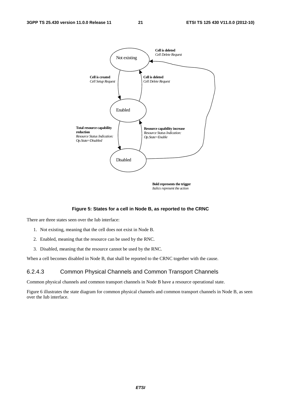

*Italics represent the action*

#### **Figure 5: States for a cell in Node B, as reported to the CRNC**

There are three states seen over the Iub interface:

- 1. Not existing, meaning that the cell does not exist in Node B.
- 2. Enabled, meaning that the resource can be used by the RNC.
- 3. Disabled, meaning that the resource cannot be used by the RNC.

When a cell becomes disabled in Node B, that shall be reported to the CRNC together with the cause.

#### 6.2.4.3 Common Physical Channels and Common Transport Channels

Common physical channels and common transport channels in Node B have a resource operational state.

Figure 6 illustrates the state diagram for common physical channels and common transport channels in Node B, as seen over the Iub interface.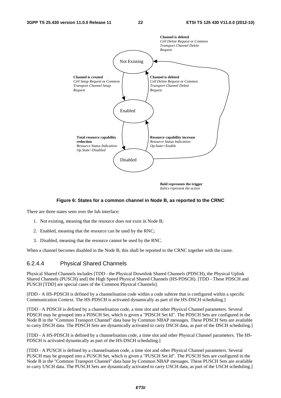

**Bold represents the trigger** *Italics represent the action*

#### **Figure 6: States for a common channel in Node B, as reported to the CRNC**

There are three states seen over the Iub interface:

- 1. Not existing, meaning that the resource does not exist in Node B;
- 2. Enabled, meaning that the resource can be used by the RNC;
- 3. Disabled, meaning that the resource cannot be used by the RNC.

When a channel becomes disabled in the Node B, this shall be reported to the CRNC together with the cause.

#### 6.2.4.4 Physical Shared Channels

Physical Shared Channels includes [TDD - the Physical Downlink Shared Channels (PDSCH), the Physical Uplink Shared Channels (PUSCH) and] the High Speed Physical Shared Channels (HS-PDSCH). [TDD - These PDSCH and PUSCH [TDD] are special cases of the Common Physical Channels].

[FDD - A HS-PDSCH is defined by a channelisation code within a code subtree that is configured within a specific Communication Context. The HS-PDSCH is activated dynamically as part of the HS-DSCH scheduling.]

[TDD - A PDSCH is defined by a channelisation code, a time slot and other Physical Channel parameters. Several PDSCH may be grouped into a PDSCH Set, which is given a "PDSCH Set Id". The PDSCH Sets are configured in the Node B in the "Common Transport Channel" data base by Common NBAP messages. These PDSCH Sets are available to carry DSCH data. The PDSCH Sets are dynamically activated to carry DSCH data, as part of the DSCH scheduling.]

[TDD - A HS-PDSCH is defined by a channelisation code, a time slot and other Physical Channel parameters. The HS-PDSCH is activated dynamically as part of the HS-DSCH scheduling.]

[TDD - A PUSCH is defined by a channelisation code, a time slot and other Physical Channel parameters. Several PUSCH may be grouped into a PUSCH Set, which is given a "PUSCH Set Id". The PUSCH Sets are configured in the Node B in the "Common Transport Channel" data base by Common NBAP messages. These PUSCH Sets are available to carry USCH data. The PUSCH Sets are dynamically activated to carry USCH data, as part of the USCH scheduling.]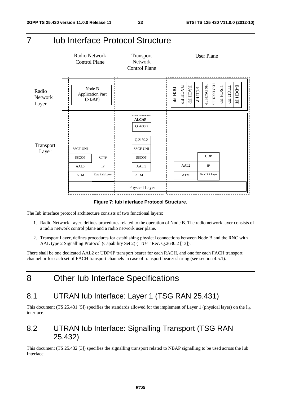# 7 Iub Interface Protocol Structure



**Figure 7: Iub Interface Protocol Structure.** 

The Iub interface protocol architecture consists of two functional layers:

- 1. Radio Network Layer, defines procedures related to the operation of Node B. The radio network layer consists of a radio network control plane and a radio network user plane.
- 2. Transport Layer, defines procedures for establishing physical connections between Node B and the RNC with AAL type 2 Signalling Protocol (Capability Set 2) (ITU-T Rec. Q.2630.2 [13]).

There shall be one dedicated AAL2 or UDP/IP transport bearer for each RACH, and one for each FACH transport channel or for each set of FACH transport channels in case of transport bearer sharing (see section 4.5.1).

8 Other Iub Interface Specifications

# 8.1 UTRAN Iub Interface: Layer 1 (TSG RAN 25.431)

This document (TS 25.431 [5]) specifies the standards allowed for the implement of Layer 1 (physical layer) on the I<sub>ub</sub> interface.

# 8.2 UTRAN Iub Interface: Signalling Transport (TSG RAN 25.432)

This document (TS 25.432 [3]) specifies the signalling transport related to NBAP signalling to be used across the Iub Interface.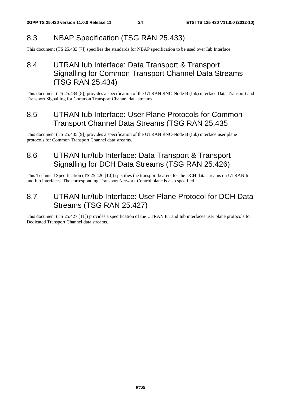# 8.3 NBAP Specification (TSG RAN 25.433)

This document (TS 25.433 [7]) specifies the standards for NBAP specification to be used over Iub Interface.

# 8.4 UTRAN Iub Interface: Data Transport & Transport Signalling for Common Transport Channel Data Streams (TSG RAN 25.434)

This document (TS 25.434 [8]) provides a specification of the UTRAN RNC-Node B (Iub) interface Data Transport and Transport Signalling for Common Transport Channel data streams.

# 8.5 UTRAN Iub Interface: User Plane Protocols for Common Transport Channel Data Streams (TSG RAN 25.435

This document (TS 25.435 [9]) provides a specification of the UTRAN RNC-Node B (Iub) interface user plane protocols for Common Transport Channel data streams.

# 8.6 UTRAN Iur/Iub Interface: Data Transport & Transport Signalling for DCH Data Streams (TSG RAN 25.426)

This Technical Specification (TS 25.426 [10]) specifies the transport bearers for the DCH data streams on UTRAN Iur and Iub interfaces. The corresponding Transport Network Control plane is also specified.

# 8.7 UTRAN Iur/Iub Interface: User Plane Protocol for DCH Data Streams (TSG RAN 25.427)

This document (TS 25.427 [11]) provides a specification of the UTRAN Iur and Iub interfaces user plane protocols for Dedicated Transport Channel data streams.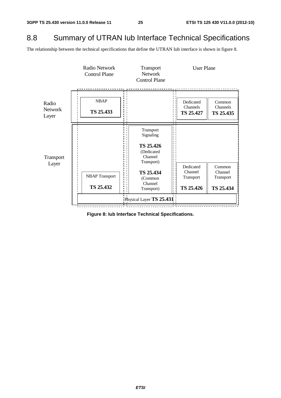# 8.8 Summary of UTRAN Iub Interface Technical Specifications

The relationship between the technical specifications that define the UTRAN Iub interface is shown in figure 8.



**Figure 8: Iub Interface Technical Specifications.**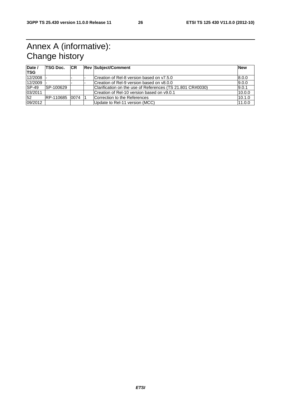# Annex A (informative): Change history

| Date /<br><b>TSG</b> | <b>TSG Doc.</b> | CR | <b>Rev Subject/Comment</b>                                 | <b>New</b> |
|----------------------|-----------------|----|------------------------------------------------------------|------------|
| 12/2008              |                 |    | Creation of Rel-8 version based on y7.5.0                  | 8.0.0      |
| 12/2009              |                 |    | Creation of Rel-9 version based on v8.0.0                  | 9.0.0      |
| $ SP-49 $            | SP-100629       |    | Clarification on the use of References (TS 21.801 CR#0030) | 9.0.1      |
| 03/2011              |                 |    | Creation of Rel-10 version based on v9.0.1                 | 10.0.0     |
| 52                   | RP-110685 0074  |    | Correction to the References                               | 10.1.0     |
| 09/2012              |                 |    | Update to Rel-11 version (MCC)                             | 11.0.0     |